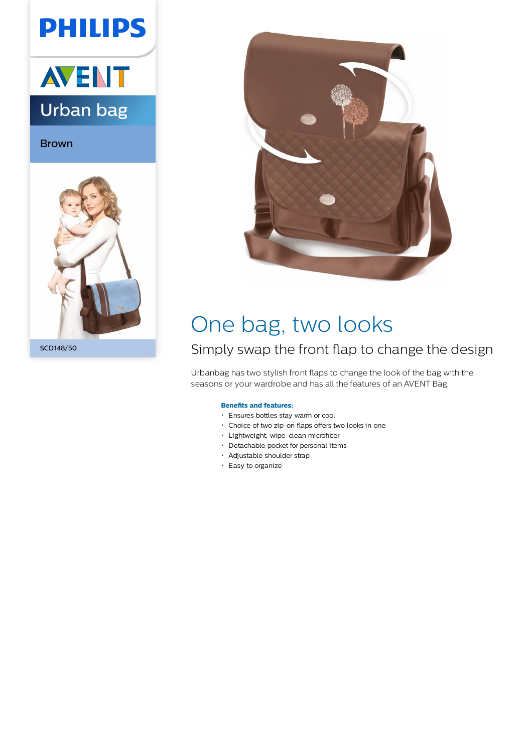# **PHILIPS**



Brown



SCD148/50



## One bag, two looks

### Simply swap the front flap to change the design

Urbanbag has two stylish front flaps to change the look of the bag with the seasons or your wardrobe and has all the features of an AVENT Bag.

### **Benefits and features:**

- Ensures bottles stay warm or cool
- Choice of two zip-on flaps offers two looks in one
- Lightweight, wipe-clean microfiber
- Detachable pocket for personal items
- Adjustable shoulder strap
- Easy to organize